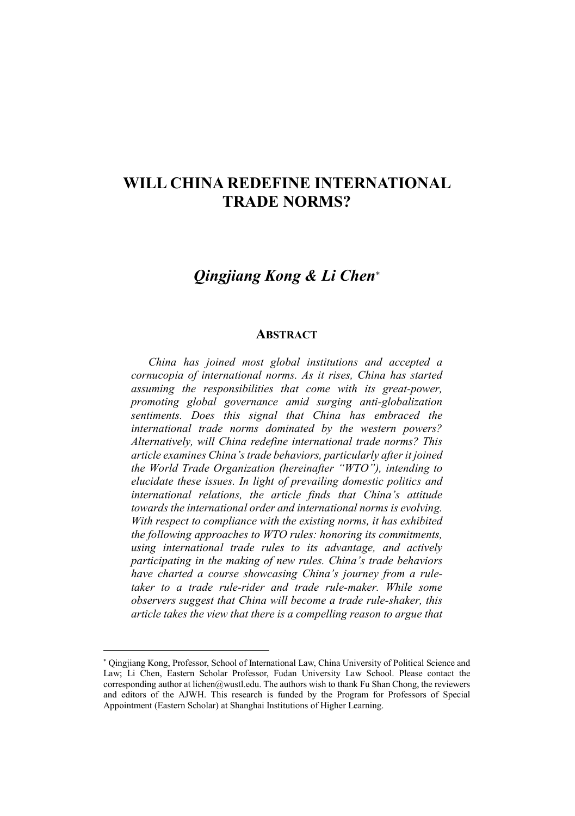## WILL CHINA REDEFINE INTERNATIONAL TRADE NORMS?

## *Qingjiang Kong & Li Chen*

## **ABSTRACT**

*China has joined most global institutions and accepted a cornucopia of international norms. As it rises, China has started assuming the responsibilities that come with its great-power, promoting global governance amid surging anti-globalization sentiments. Does this signal that China has embraced the international trade norms dominated by the western powers? Alternatively, will China redefine international trade norms? This article examines China's trade behaviors, particularly after it joined the World Trade Organization (hereinafter "WTO"), intending to elucidate these issues. In light of prevailing domestic politics and international relations, the article finds that China's attitude towards the international order and international norms is evolving. With respect to compliance with the existing norms, it has exhibited the following approaches to WTO rules: honoring its commitments, using international trade rules to its advantage, and actively participating in the making of new rules. China's trade behaviors have charted a course showcasing China's journey from a ruletaker to a trade rule-rider and trade rule-maker. While some observers suggest that China will become a trade rule-shaker, this article takes the view that there is a compelling reason to argue that* 

 $\overline{a}$ 

Qingjiang Kong, Professor, School of International Law, China University of Political Science and Law; Li Chen, Eastern Scholar Professor, Fudan University Law School. Please contact the corresponding author at lichen@wustl.edu. The authors wish to thank Fu Shan Chong, the reviewers and editors of the AJWH. This research is funded by the Program for Professors of Special Appointment (Eastern Scholar) at Shanghai Institutions of Higher Learning.